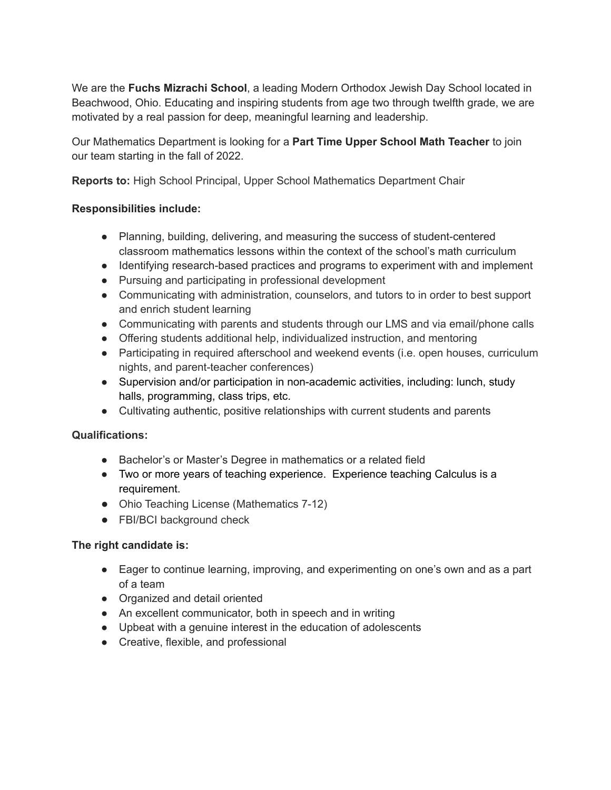We are the **Fuchs Mizrachi School**, a leading Modern Orthodox Jewish Day School located in Beachwood, Ohio. Educating and inspiring students from age two through twelfth grade, we are motivated by a real passion for deep, meaningful learning and leadership.

Our Mathematics Department is looking for a **Part Time Upper School Math Teacher** to join our team starting in the fall of 2022.

**Reports to:** High School Principal, Upper School Mathematics Department Chair

## **Responsibilities include:**

- Planning, building, delivering, and measuring the success of student-centered classroom mathematics lessons within the context of the school's math curriculum
- Identifying research-based practices and programs to experiment with and implement
- Pursuing and participating in professional development
- Communicating with administration, counselors, and tutors to in order to best support and enrich student learning
- Communicating with parents and students through our LMS and via email/phone calls
- Offering students additional help, individualized instruction, and mentoring
- Participating in required afterschool and weekend events (i.e. open houses, curriculum nights, and parent-teacher conferences)
- Supervision and/or participation in non-academic activities, including: lunch, study halls, programming, class trips, etc.
- Cultivating authentic, positive relationships with current students and parents

## **Qualifications:**

- Bachelor's or Master's Degree in mathematics or a related field
- Two or more years of teaching experience. Experience teaching Calculus is a requirement.
- Ohio Teaching License (Mathematics 7-12)
- FBI/BCI background check

## **The right candidate is:**

- Eager to continue learning, improving, and experimenting on one's own and as a part of a team
- Organized and detail oriented
- An excellent communicator, both in speech and in writing
- Upbeat with a genuine interest in the education of adolescents
- Creative, flexible, and professional